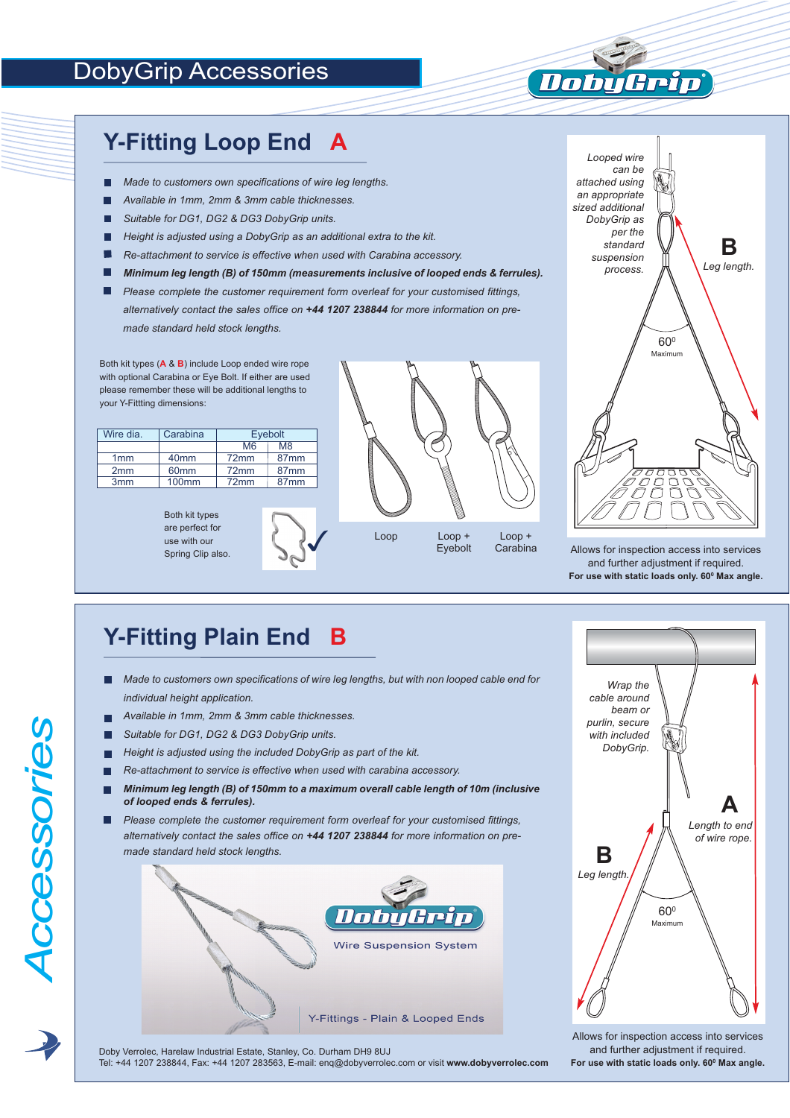#### DobyGrip Accessories

#### **Y-Fitting Loop End A**

- *Made to customers own specifications of wire leg lengths.*
- *Available in 1mm, 2mm & 3mm cable thicknesses.*
- *Suitable for DG1, DG2 & DG3 DobyGrip units.* П
- П *Height is adjusted using a DobyGrip as an additional extra to the kit.*
- п *Re-attachment to service is effective when used with Carabina accessory.*
- *Minimum leg length (B) of 150mm (measurements inclusive of looped ends & ferrules).*
- *Please complete the customer requirement form overleaf for your customised fittings, alternatively contact the sales office on +44 1207 238844 for more information on premade standard held stock lengths.*

Both kit types (**A** & **B**) include Loop ended wire rope with optional Carabina or Eye Bolt. If either are used please remember these will be additional lengths to your Y-Fittting dimensions:

| Wire dia.       | Carabina         | Eyebolt |                  |
|-----------------|------------------|---------|------------------|
|                 |                  | M6      | M <sub>8</sub>   |
| 1mm             | 40 <sub>mm</sub> | 72mm    | 87 <sub>mm</sub> |
| 2mm             | 60 <sub>mm</sub> | 72mm    | 87 <sub>mm</sub> |
| 3 <sub>mm</sub> | <b>100mm</b>     | 72mm    | 87 <sub>mm</sub> |

Both kit types are perfect for use with our Spring Clip also.





Apin

**Timb** 

Allows for inspection access into services and further adjustment if required. **For use with static loads only. 600 Max angle.**

## **Y-Fitting Plain End B**

- *Made to customers own specifications of wire leg lengths, but with non looped cable end for* П *individual height application.*
- *Available in 1mm, 2mm & 3mm cable thicknesses.*
- *Suitable for DG1, DG2 & DG3 DobyGrip units.*

*A*

*cce*

*ssorie*

<u>(၇</u>

- *Height is adjusted using the included DobyGrip as part of the kit.* П
- *Re-attachment to service is effective when used with carabina accessory.* г
- *Minimum leg length (B) of 150mm to a maximum overall cable length of 10m (inclusive of looped ends & ferrules).*
- *Please complete the customer requirement form overleaf for your customised fittings,* г *alternatively contact the sales office on +44 1207 238844 for more information on premade standard held stock lengths.* **B**





Allows for inspection access into services and further adjustment if required. **For use with static loads only. 600 Max angle.**